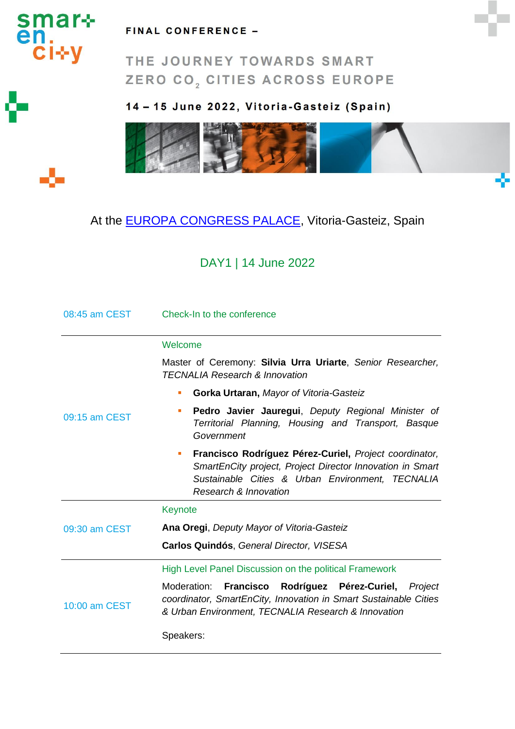

#### FINAL CONFERENCE -

THE JOURNEY TOWARDS SMART ZERO CO<sub>2</sub> CITIES ACROSS EUROPE

### 14-15 June 2022, Vitoria-Gasteiz (Spain)



# At the **EUROPA CONGRESS PALACE**, Vitoria-Gasteiz, Spain

# DAY1 | 14 June 2022

| 08:45 am CEST | Check-In to the conference                                                                                                                                                                            |
|---------------|-------------------------------------------------------------------------------------------------------------------------------------------------------------------------------------------------------|
|               | Welcome                                                                                                                                                                                               |
|               | Master of Ceremony: Silvia Urra Uriarte, Senior Researcher,<br><b>TECNALIA Research &amp; Innovation</b>                                                                                              |
|               | Gorka Urtaran, Mayor of Vitoria-Gasteiz<br>٠                                                                                                                                                          |
| 09:15 am CEST | Pedro Javier Jauregui, Deputy Regional Minister of<br>٠<br>Territorial Planning, Housing and Transport, Basque<br>Government                                                                          |
|               | Francisco Rodríguez Pérez-Curiel, Project coordinator,<br>п<br>SmartEnCity project, Project Director Innovation in Smart<br>Sustainable Cities & Urban Environment, TECNALIA<br>Research & Innovation |
|               | Keynote                                                                                                                                                                                               |
| 09:30 am CEST | Ana Oregi, Deputy Mayor of Vitoria-Gasteiz                                                                                                                                                            |
|               | Carlos Quindós, General Director, VISESA                                                                                                                                                              |
|               | High Level Panel Discussion on the political Framework                                                                                                                                                |
| 10:00 am CEST | Moderation:<br><b>Francisco</b><br>Rodríguez Pérez-Curiel,<br>Project<br>coordinator, SmartEnCity, Innovation in Smart Sustainable Cities<br>& Urban Environment, TECNALIA Research & Innovation      |
|               | Speakers:                                                                                                                                                                                             |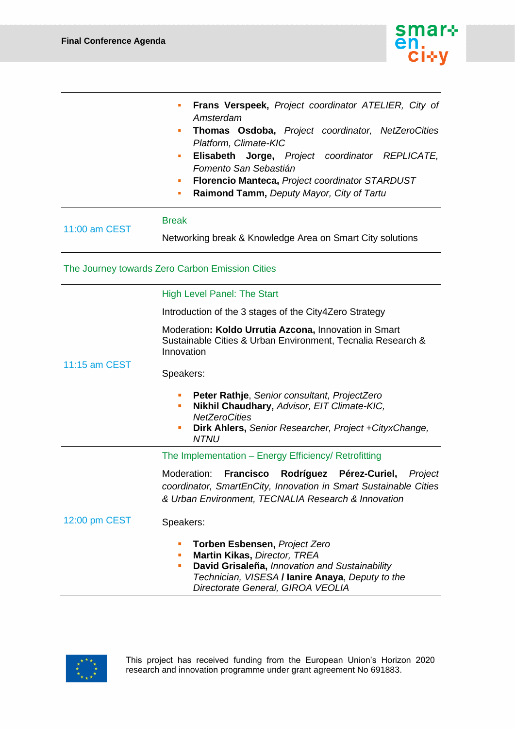

|               | Frans Verspeek, Project coordinator ATELIER, City of<br>ш<br>Amsterdam<br>Thomas Osdoba, Project coordinator, NetZeroCities<br>ш<br>Platform, Climate-KIC<br>Elisabeth Jorge, Project coordinator REPLICATE,<br>ш<br>Fomento San Sebastián<br>Florencio Manteca, Project coordinator STARDUST<br>ш<br>Raimond Tamm, Deputy Mayor, City of Tartu<br>ш |
|---------------|------------------------------------------------------------------------------------------------------------------------------------------------------------------------------------------------------------------------------------------------------------------------------------------------------------------------------------------------------|
| 11:00 am CEST | <b>Break</b><br>Networking break & Knowledge Area on Smart City solutions                                                                                                                                                                                                                                                                            |
|               | The Journey towards Zero Carbon Emission Cities                                                                                                                                                                                                                                                                                                      |
|               | <b>High Level Panel: The Start</b>                                                                                                                                                                                                                                                                                                                   |
|               | Introduction of the 3 stages of the City4Zero Strategy                                                                                                                                                                                                                                                                                               |
| 11:15 am CEST | Moderation: Koldo Urrutia Azcona, Innovation in Smart<br>Sustainable Cities & Urban Environment, Tecnalia Research &<br>Innovation                                                                                                                                                                                                                   |
|               | Speakers:                                                                                                                                                                                                                                                                                                                                            |
|               | Peter Rathje, Senior consultant, ProjectZero<br>п<br>Nikhil Chaudhary, Advisor, EIT Climate-KIC,<br>п<br><b>NetZeroCities</b><br>Dirk Ahlers, Senior Researcher, Project + Cityx Change,<br>п<br><b>NTNU</b>                                                                                                                                         |
| 12:00 pm CEST | The Implementation - Energy Efficiency/ Retrofitting                                                                                                                                                                                                                                                                                                 |
|               | Moderation:<br><b>Francisco</b><br>Rodríguez Pérez-Curiel,<br>Project<br>coordinator, SmartEnCity, Innovation in Smart Sustainable Cities<br>& Urban Environment, TECNALIA Research & Innovation                                                                                                                                                     |
|               | Speakers:                                                                                                                                                                                                                                                                                                                                            |
|               | <b>Torben Esbensen, Project Zero</b><br>п<br>Martin Kikas, Director, TREA<br>п<br>David Grisaleña, Innovation and Sustainability<br>٠<br>Technician, VISESA / lanire Anaya, Deputy to the<br>Directorate General, GIROA VEOLIA                                                                                                                       |

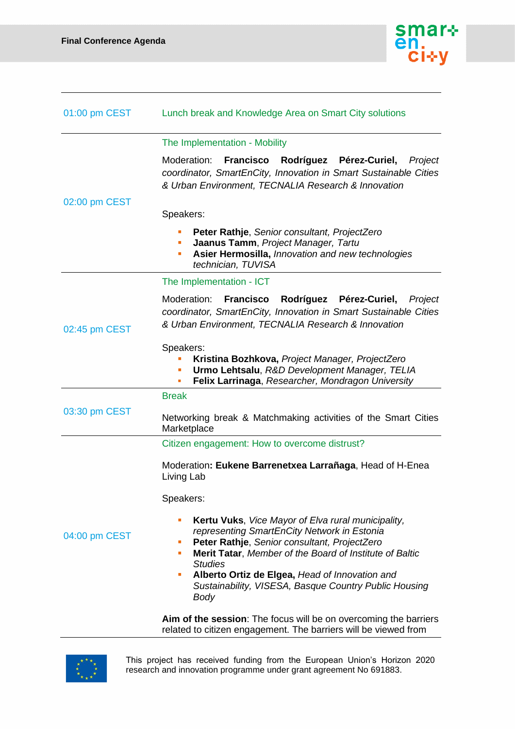

| 01:00 pm CEST | Lunch break and Knowledge Area on Smart City solutions                                                                                                                                                                                                                                                                                                                |
|---------------|-----------------------------------------------------------------------------------------------------------------------------------------------------------------------------------------------------------------------------------------------------------------------------------------------------------------------------------------------------------------------|
|               | The Implementation - Mobility                                                                                                                                                                                                                                                                                                                                         |
| 02:00 pm CEST | Moderation:<br>Rodríguez Pérez-Curiel,<br><b>Francisco</b><br>Project<br>coordinator, SmartEnCity, Innovation in Smart Sustainable Cities<br>& Urban Environment, TECNALIA Research & Innovation                                                                                                                                                                      |
|               | Speakers:                                                                                                                                                                                                                                                                                                                                                             |
|               | Peter Rathje, Senior consultant, ProjectZero<br>Jaanus Tamm, Project Manager, Tartu<br>٠<br>Asier Hermosilla, Innovation and new technologies<br>п<br>technician, TUVISA                                                                                                                                                                                              |
|               | The Implementation - ICT                                                                                                                                                                                                                                                                                                                                              |
| 02:45 pm CEST | Moderation:<br><b>Francisco</b><br>Rodríguez Pérez-Curiel,<br>Project<br>coordinator, SmartEnCity, Innovation in Smart Sustainable Cities<br>& Urban Environment, TECNALIA Research & Innovation                                                                                                                                                                      |
|               | Speakers:<br>Kristina Bozhkova, Project Manager, ProjectZero<br>Urmo Lehtsalu, R&D Development Manager, TELIA<br>п<br>Felix Larrinaga, Researcher, Mondragon University                                                                                                                                                                                               |
|               | <b>Break</b>                                                                                                                                                                                                                                                                                                                                                          |
| 03:30 pm CEST | Networking break & Matchmaking activities of the Smart Cities<br>Marketplace                                                                                                                                                                                                                                                                                          |
|               | Citizen engagement: How to overcome distrust?                                                                                                                                                                                                                                                                                                                         |
| 04:00 pm CEST | Moderation: Eukene Barrenetxea Larrañaga, Head of H-Enea<br>Living Lab                                                                                                                                                                                                                                                                                                |
|               | Speakers:                                                                                                                                                                                                                                                                                                                                                             |
|               | Kertu Vuks, Vice Mayor of Elva rural municipality,<br>п<br>representing SmartEnCity Network in Estonia<br>Peter Rathje, Senior consultant, ProjectZero<br>×<br>Merit Tatar, Member of the Board of Institute of Baltic<br>×<br><b>Studies</b><br>Alberto Ortiz de Elgea, Head of Innovation and<br>×<br>Sustainability, VISESA, Basque Country Public Housing<br>Body |
|               | Aim of the session: The focus will be on overcoming the barriers<br>related to citizen engagement. The barriers will be viewed from                                                                                                                                                                                                                                   |

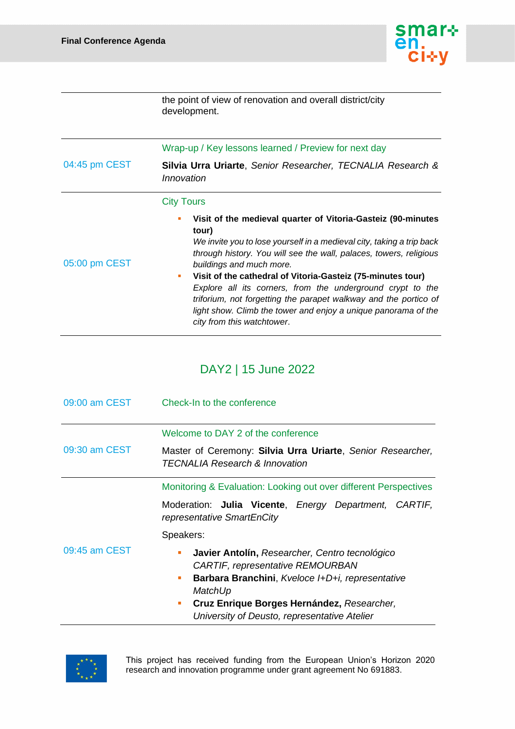

the point of view of renovation and overall district/city development.

|                   | Wrap-up / Key lessons learned / Preview for next day                                                                                                                                                                                                                                                                                                                                                                                                                                                                                                   |
|-------------------|--------------------------------------------------------------------------------------------------------------------------------------------------------------------------------------------------------------------------------------------------------------------------------------------------------------------------------------------------------------------------------------------------------------------------------------------------------------------------------------------------------------------------------------------------------|
| 04:45 pm CEST     | Silvia Urra Uriarte, Senior Researcher, TECNALIA Research &<br>Innovation                                                                                                                                                                                                                                                                                                                                                                                                                                                                              |
| <b>City Tours</b> |                                                                                                                                                                                                                                                                                                                                                                                                                                                                                                                                                        |
| 05:00 pm CEST     | Visit of the medieval quarter of Vitoria-Gasteiz (90-minutes<br>tour)<br>We invite you to lose yourself in a medieval city, taking a trip back<br>through history. You will see the wall, palaces, towers, religious<br>buildings and much more.<br>Visit of the cathedral of Vitoria-Gasteiz (75-minutes tour)<br>ш<br>Explore all its corners, from the underground crypt to the<br>triforium, not forgetting the parapet walkway and the portico of<br>light show. Climb the tower and enjoy a unique panorama of the<br>city from this watchtower. |

# DAY2 | 15 June 2022

| 09:00 am CEST | Check-In to the conference                                                                                                                                                                                                                                                          |
|---------------|-------------------------------------------------------------------------------------------------------------------------------------------------------------------------------------------------------------------------------------------------------------------------------------|
|               | Welcome to DAY 2 of the conference                                                                                                                                                                                                                                                  |
| 09:30 am CEST | Master of Ceremony: Silvia Urra Uriarte, Senior Researcher,<br><b>TECNALIA Research &amp; Innovation</b>                                                                                                                                                                            |
|               | Monitoring & Evaluation: Looking out over different Perspectives                                                                                                                                                                                                                    |
|               | Moderation: Julia Vicente, Energy Department, CARTIF,<br>representative SmartEnCity                                                                                                                                                                                                 |
|               | Speakers:                                                                                                                                                                                                                                                                           |
| 09:45 am CEST | Javier Antolín, Researcher, Centro tecnológico<br>$\blacksquare$<br><b>CARTIF, representative REMOURBAN</b><br>Barbara Branchini, Kveloce I+D+i, representative<br>m.<br>MatchUp<br>Cruz Enrique Borges Hernández, Researcher,<br>ш<br>University of Deusto, representative Atelier |

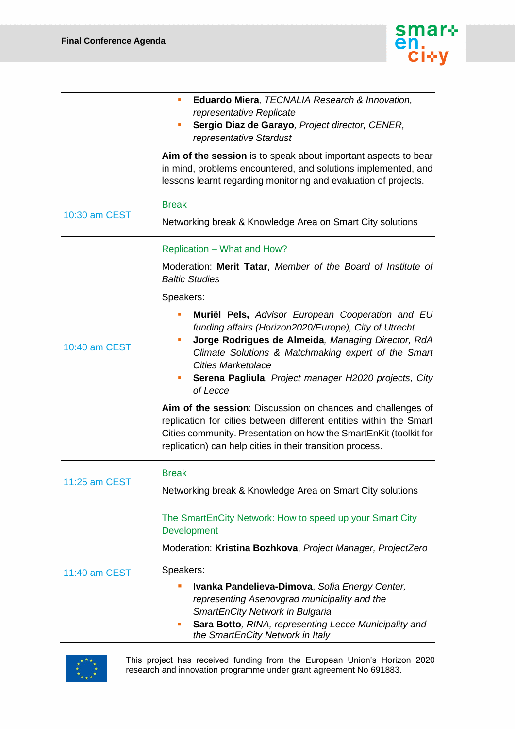

|               | Eduardo Miera, TECNALIA Research & Innovation,<br>ш<br>representative Replicate<br>Sergio Diaz de Garayo, Project director, CENER,<br>ш<br>representative Stardust<br>Aim of the session is to speak about important aspects to bear<br>in mind, problems encountered, and solutions implemented, and                                     |
|---------------|-------------------------------------------------------------------------------------------------------------------------------------------------------------------------------------------------------------------------------------------------------------------------------------------------------------------------------------------|
|               | lessons learnt regarding monitoring and evaluation of projects.                                                                                                                                                                                                                                                                           |
| 10:30 am CEST | <b>Break</b>                                                                                                                                                                                                                                                                                                                              |
|               | Networking break & Knowledge Area on Smart City solutions                                                                                                                                                                                                                                                                                 |
|               | Replication - What and How?                                                                                                                                                                                                                                                                                                               |
|               | Moderation: Merit Tatar, Member of the Board of Institute of<br><b>Baltic Studies</b>                                                                                                                                                                                                                                                     |
|               | Speakers:                                                                                                                                                                                                                                                                                                                                 |
| 10:40 am CEST | Muriël Pels, Advisor European Cooperation and EU<br>T.<br>funding affairs (Horizon2020/Europe), City of Utrecht<br>Jorge Rodrigues de Almeida, Managing Director, RdA<br>ш<br>Climate Solutions & Matchmaking expert of the Smart<br><b>Cities Marketplace</b><br>Serena Pagliula, Project manager H2020 projects, City<br>m,<br>of Lecce |
|               | Aim of the session: Discussion on chances and challenges of<br>replication for cities between different entities within the Smart<br>Cities community. Presentation on how the SmartEnKit (toolkit for<br>replication) can help cities in their transition process.                                                                       |
| 11:25 am CEST | <b>Break</b>                                                                                                                                                                                                                                                                                                                              |
|               | Networking break & Knowledge Area on Smart City solutions                                                                                                                                                                                                                                                                                 |
| 11:40 am CEST | The SmartEnCity Network: How to speed up your Smart City<br>Development<br>Moderation: Kristina Bozhkova, Project Manager, ProjectZero                                                                                                                                                                                                    |
|               | Speakers:                                                                                                                                                                                                                                                                                                                                 |
|               | Ivanka Pandelieva-Dimova, Sofia Energy Center,<br>representing Asenovgrad municipality and the<br>SmartEnCity Network in Bulgaria<br>Sara Botto, RINA, representing Lecce Municipality and<br>ш<br>the SmartEnCity Network in Italy                                                                                                       |

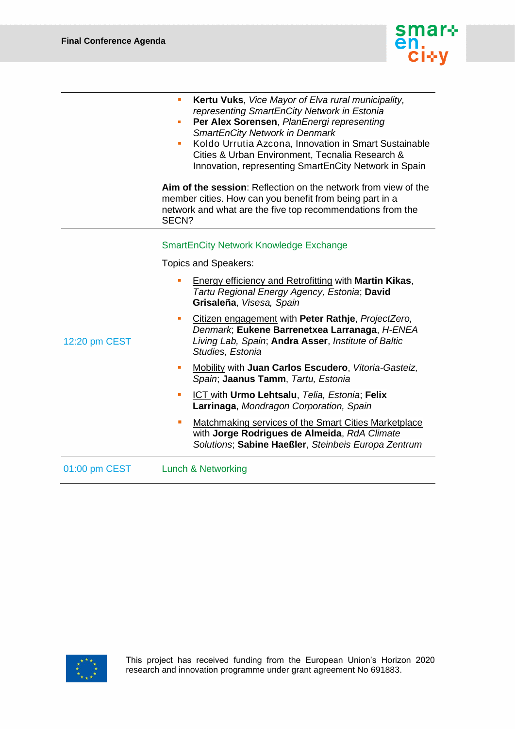

|               | Kertu Vuks, Vice Mayor of Elva rural municipality,<br><b>I</b><br>representing SmartEnCity Network in Estonia<br>Per Alex Sorensen, PlanEnergi representing<br>ш<br><b>SmartEnCity Network in Denmark</b><br>Koldo Urrutia Azcona, Innovation in Smart Sustainable<br>×.<br>Cities & Urban Environment, Tecnalia Research &<br>Innovation, representing SmartEnCity Network in Spain<br>Aim of the session: Reflection on the network from view of the<br>member cities. How can you benefit from being part in a                                                                                                                                                                                                                                                                               |
|---------------|-------------------------------------------------------------------------------------------------------------------------------------------------------------------------------------------------------------------------------------------------------------------------------------------------------------------------------------------------------------------------------------------------------------------------------------------------------------------------------------------------------------------------------------------------------------------------------------------------------------------------------------------------------------------------------------------------------------------------------------------------------------------------------------------------|
|               | network and what are the five top recommendations from the<br>SECN?                                                                                                                                                                                                                                                                                                                                                                                                                                                                                                                                                                                                                                                                                                                             |
| 12:20 pm CEST | <b>SmartEnCity Network Knowledge Exchange</b><br><b>Topics and Speakers:</b><br><b>Energy efficiency and Retrofitting with Martin Kikas,</b><br>Tartu Regional Energy Agency, Estonia; David<br>Grisaleña, Visesa, Spain<br>Citizen engagement with Peter Rathje, ProjectZero,<br>×<br>Denmark, Eukene Barrenetxea Larranaga, H-ENEA<br>Living Lab, Spain; Andra Asser, Institute of Baltic<br>Studies, Estonia<br>Mobility with Juan Carlos Escudero, Vitoria-Gasteiz,<br>$\blacksquare$<br>Spain; Jaanus Tamm, Tartu, Estonia<br>ICT with Urmo Lehtsalu, Telia, Estonia; Felix<br>×<br>Larrinaga, Mondragon Corporation, Spain<br>Matchmaking services of the Smart Cities Marketplace<br>with Jorge Rodrigues de Almeida, RdA Climate<br>Solutions; Sabine Haeßler, Steinbeis Europa Zentrum |
| 01:00 pm CEST | <b>Lunch &amp; Networking</b>                                                                                                                                                                                                                                                                                                                                                                                                                                                                                                                                                                                                                                                                                                                                                                   |